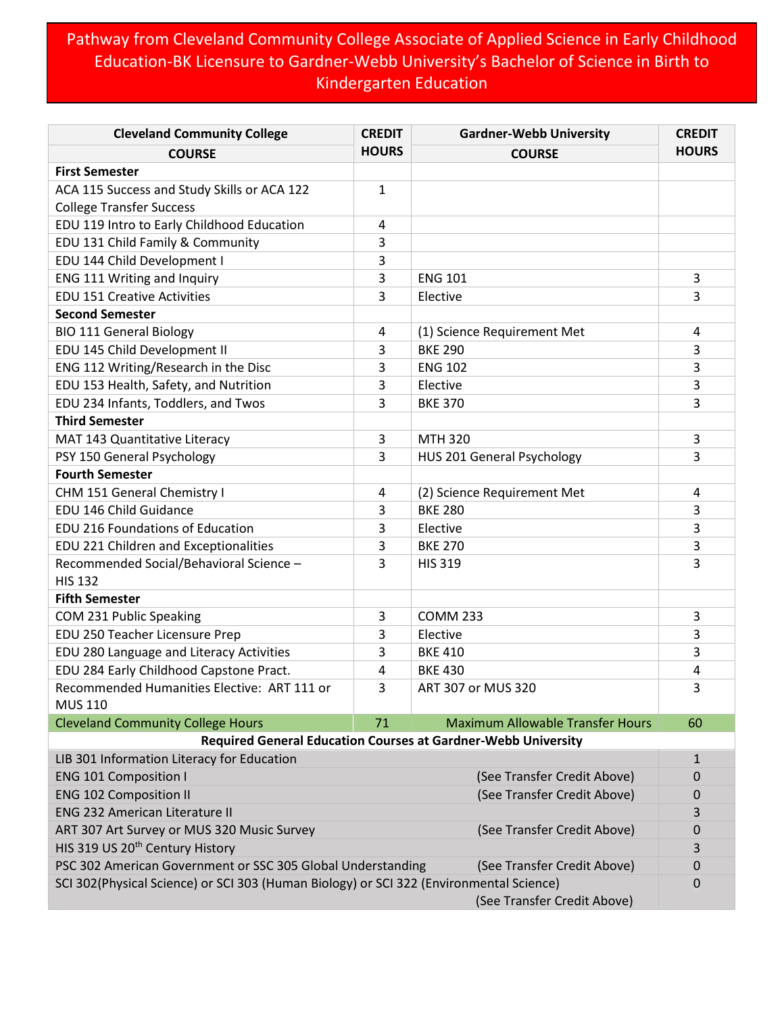## Pathway from Cleveland Community College Associate of Applied Science in Early Childhood Education-BK Licensure to Gardner-Webb University's Bachelor of Science in Birth to Kindergarten Education

| <b>Cleveland Community College</b>                                                           | <b>CREDIT</b> | <b>Gardner-Webb University</b>                                       | <b>CREDIT</b> |
|----------------------------------------------------------------------------------------------|---------------|----------------------------------------------------------------------|---------------|
| <b>COURSE</b>                                                                                | <b>HOURS</b>  | <b>COURSE</b>                                                        | <b>HOURS</b>  |
| <b>First Semester</b>                                                                        |               |                                                                      |               |
| ACA 115 Success and Study Skills or ACA 122                                                  | 1             |                                                                      |               |
| <b>College Transfer Success</b>                                                              |               |                                                                      |               |
| EDU 119 Intro to Early Childhood Education                                                   | 4             |                                                                      |               |
| EDU 131 Child Family & Community                                                             | 3             |                                                                      |               |
| EDU 144 Child Development I                                                                  | 3             |                                                                      |               |
| ENG 111 Writing and Inquiry                                                                  | 3             | <b>ENG 101</b>                                                       | 3             |
| <b>EDU 151 Creative Activities</b>                                                           | 3             | Elective                                                             | 3             |
| <b>Second Semester</b>                                                                       |               |                                                                      |               |
| <b>BIO 111 General Biology</b>                                                               | 4             | (1) Science Requirement Met                                          | 4             |
| EDU 145 Child Development II                                                                 | 3             | <b>BKE 290</b>                                                       | 3             |
| ENG 112 Writing/Research in the Disc                                                         | 3             | <b>ENG 102</b>                                                       | 3             |
| EDU 153 Health, Safety, and Nutrition                                                        | 3             | Elective                                                             | 3             |
| EDU 234 Infants, Toddlers, and Twos                                                          | 3             | <b>BKE 370</b>                                                       | 3             |
| <b>Third Semester</b>                                                                        |               |                                                                      |               |
| MAT 143 Quantitative Literacy                                                                | 3             | <b>MTH 320</b>                                                       | 3             |
| PSY 150 General Psychology                                                                   | 3             | HUS 201 General Psychology                                           | 3             |
| <b>Fourth Semester</b>                                                                       |               |                                                                      |               |
| CHM 151 General Chemistry I                                                                  | 4             | (2) Science Requirement Met                                          | 4             |
| EDU 146 Child Guidance                                                                       | 3             | <b>BKE 280</b>                                                       | 3             |
| EDU 216 Foundations of Education                                                             | 3             | Elective                                                             | 3             |
| EDU 221 Children and Exceptionalities                                                        | 3             | <b>BKE 270</b>                                                       | 3             |
| Recommended Social/Behavioral Science -                                                      | 3             | <b>HIS 319</b>                                                       | 3             |
| <b>HIS 132</b>                                                                               |               |                                                                      |               |
| <b>Fifth Semester</b>                                                                        |               |                                                                      |               |
| COM 231 Public Speaking                                                                      | 3             | <b>COMM 233</b>                                                      | 3             |
| EDU 250 Teacher Licensure Prep                                                               | 3             | Elective                                                             | 3             |
| EDU 280 Language and Literacy Activities                                                     | 3             | <b>BKE 410</b>                                                       | 3             |
| EDU 284 Early Childhood Capstone Pract.                                                      | 4             | <b>BKE 430</b>                                                       | 4             |
| Recommended Humanities Elective: ART 111 or<br><b>MUS 110</b>                                | 3             | ART 307 or MUS 320                                                   | 3             |
| <b>Cleveland Community College Hours</b>                                                     | 71            | <b>Maximum Allowable Transfer Hours</b>                              | 60            |
|                                                                                              |               | <b>Required General Education Courses at Gardner-Webb University</b> |               |
| LIB 301 Information Literacy for Education                                                   |               |                                                                      | $\mathbf{1}$  |
| <b>ENG 101 Composition I</b>                                                                 |               | (See Transfer Credit Above)                                          | 0             |
| <b>ENG 102 Composition II</b>                                                                |               | (See Transfer Credit Above)                                          | 0             |
| <b>ENG 232 American Literature II</b>                                                        |               |                                                                      | 3             |
| ART 307 Art Survey or MUS 320 Music Survey                                                   |               | (See Transfer Credit Above)                                          | 0             |
| HIS 319 US 20 <sup>th</sup> Century History                                                  |               |                                                                      | 3             |
| PSC 302 American Government or SSC 305 Global Understanding                                  |               | (See Transfer Credit Above)                                          | 0             |
| SCI 302(Physical Science) or SCI 303 (Human Biology) or SCI 322 (Environmental Science)<br>0 |               |                                                                      |               |
|                                                                                              |               | (See Transfer Credit Above)                                          |               |